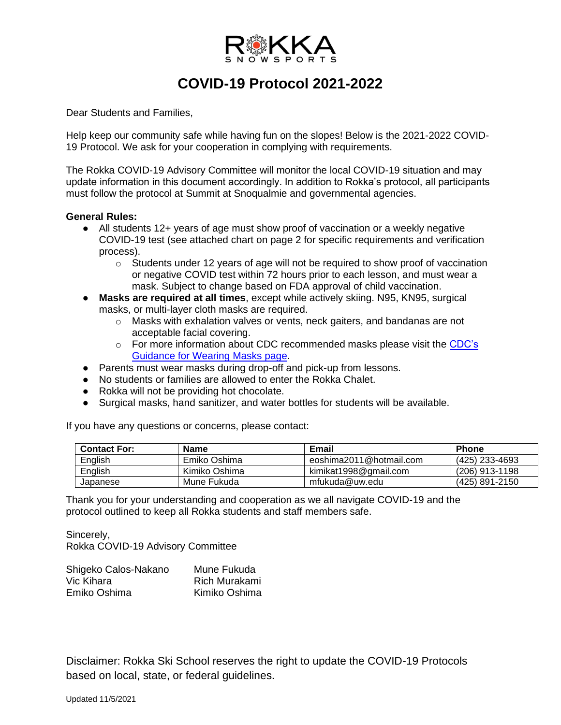

## **COVID-19 Protocol 2021-2022**

Dear Students and Families,

Help keep our community safe while having fun on the slopes! Below is the 2021-2022 COVID-19 Protocol. We ask for your cooperation in complying with requirements.

The Rokka COVID-19 Advisory Committee will monitor the local COVID-19 situation and may update information in this document accordingly. In addition to Rokka's protocol, all participants must follow the protocol at Summit at Snoqualmie and governmental agencies.

## **General Rules:**

- All students 12+ years of age must show proof of vaccination or a weekly negative COVID-19 test (see attached chart on page 2 for specific requirements and verification process).
	- $\circ$  Students under 12 years of age will not be required to show proof of vaccination or negative COVID test within 72 hours prior to each lesson, and must wear a mask. Subject to change based on FDA approval of child vaccination.
- **Masks are required at all times**, except while actively skiing. N95, KN95, surgical masks, or multi-layer cloth masks are required.
	- o Masks with exhalation valves or vents, neck gaiters, and bandanas are not acceptable facial covering.
	- o For more information about CDC recommended masks please visit the [CDC's](https://www.cdc.gov/coronavirus/2019-ncov/prevent-getting-sick/cloth-face-cover-guidance.html#anchor_1604966572663)  [Guidance for Wearing Masks page.](https://www.cdc.gov/coronavirus/2019-ncov/prevent-getting-sick/cloth-face-cover-guidance.html#anchor_1604966572663)
- Parents must wear masks during drop-off and pick-up from lessons.
- No students or families are allowed to enter the Rokka Chalet.
- Rokka will not be providing hot chocolate.
- Surgical masks, hand sanitizer, and water bottles for students will be available.

If you have any questions or concerns, please contact:

| <b>Contact For:</b> | <b>Name</b>   | Email                   | <b>Phone</b>   |
|---------------------|---------------|-------------------------|----------------|
| English             | Emiko Oshima  | eoshima2011@hotmail.com | (425) 233-4693 |
| English             | Kimiko Oshima | kimikat1998@gmail.com   | (206) 913-1198 |
| Japanese            | Mune Fukuda   | mfukuda@uw.edu          | (425) 891-2150 |

Thank you for your understanding and cooperation as we all navigate COVID-19 and the protocol outlined to keep all Rokka students and staff members safe.

Sincerely, Rokka COVID-19 Advisory Committee

| Shigeko Calos-Nakano | Mune Fukuda   |
|----------------------|---------------|
| Vic Kihara           | Rich Murakami |
| Emiko Oshima         | Kimiko Oshima |

Disclaimer: Rokka Ski School reserves the right to update the COVID-19 Protocols based on local, state, or federal guidelines.